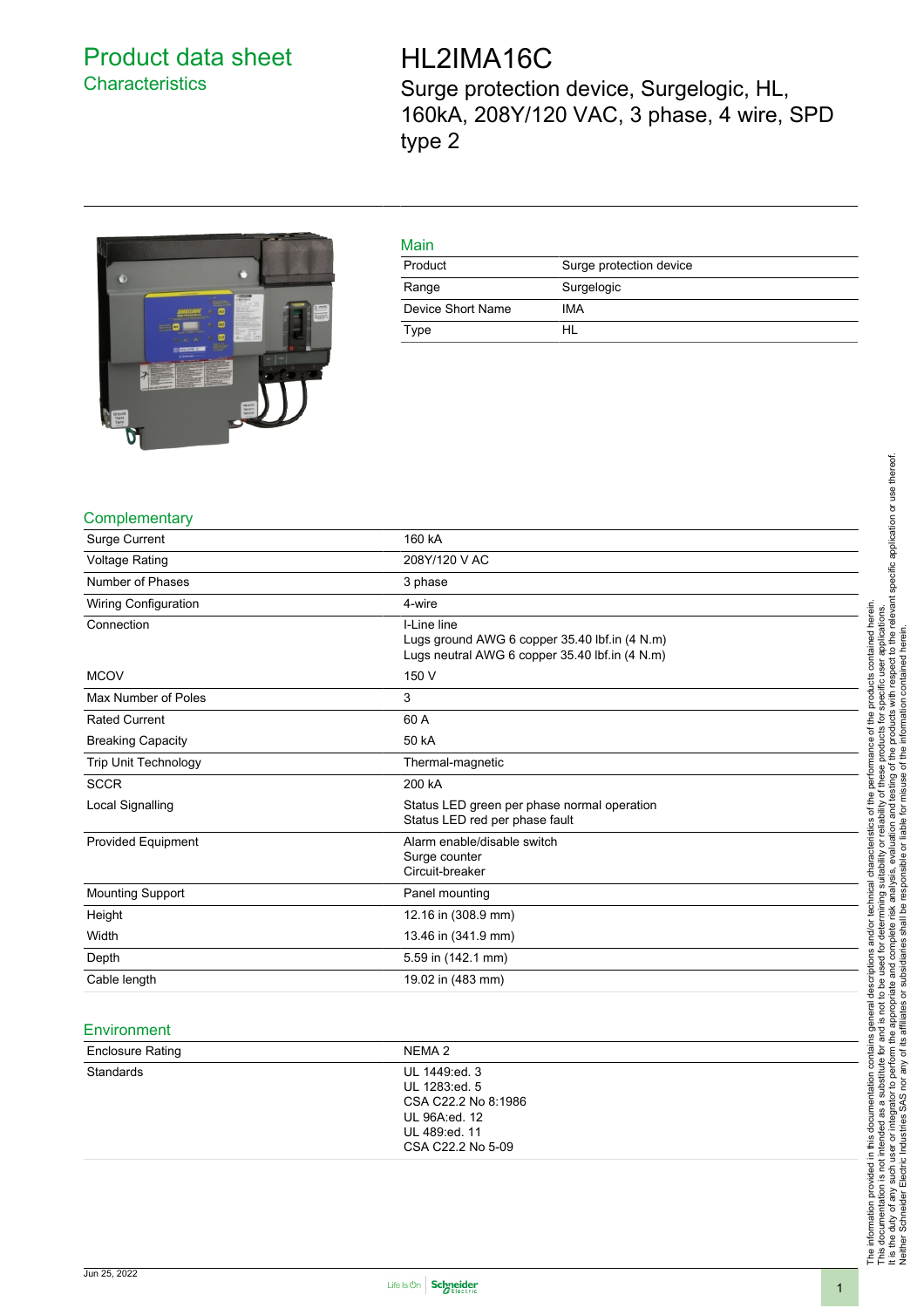# <span id="page-0-0"></span>Product data sheet **Characteristics**

# HL2IMA16C

Surge protection device, Surgelogic, HL, 160kA, 208Y/120 VAC, 3 phase, 4 wire, SPD type 2



| Main              |                         |
|-------------------|-------------------------|
| Product           | Surge protection device |
| Range             | Surgelogic              |
| Device Short Name | IMA                     |
| Type              | HL                      |

#### **Complementary**

| Surge Current            | 160 kA                                                                                                         |  |
|--------------------------|----------------------------------------------------------------------------------------------------------------|--|
| <b>Voltage Rating</b>    | 208Y/120 V AC                                                                                                  |  |
| Number of Phases         | 3 phase                                                                                                        |  |
| Wiring Configuration     | 4-wire                                                                                                         |  |
| Connection               | I-Line line<br>Lugs ground AWG 6 copper 35.40 lbf.in (4 N.m)<br>Lugs neutral AWG 6 copper 35.40 lbf.in (4 N.m) |  |
| <b>MCOV</b>              | 150 V                                                                                                          |  |
| Max Number of Poles      | 3                                                                                                              |  |
| <b>Rated Current</b>     | 60 A                                                                                                           |  |
| <b>Breaking Capacity</b> | 50 kA                                                                                                          |  |
| Trip Unit Technology     | Thermal-magnetic                                                                                               |  |
| <b>SCCR</b>              | 200 kA                                                                                                         |  |
| Local Signalling         | Status LED green per phase normal operation<br>Status LED red per phase fault                                  |  |
| Provided Equipment       | Alarm enable/disable switch<br>Surge counter<br>Circuit-breaker                                                |  |
| <b>Mounting Support</b>  | Panel mounting                                                                                                 |  |
| Height                   | 12.16 in (308.9 mm)                                                                                            |  |
| Width                    | 13.46 in (341.9 mm)                                                                                            |  |
| Depth                    | 5.59 in (142.1 mm)                                                                                             |  |
| Cable length             | 19.02 in (483 mm)                                                                                              |  |

#### **Environment**

| NEMA 2                                                                                  |                   |
|-----------------------------------------------------------------------------------------|-------------------|
| UL 1449:ed. 3<br>UL 1283:ed. 5<br>CSA C22.2 No 8:1986<br>UL 96A:ed. 12<br>UL 489:ed. 11 |                   |
|                                                                                         | CSA C22.2 No 5-09 |